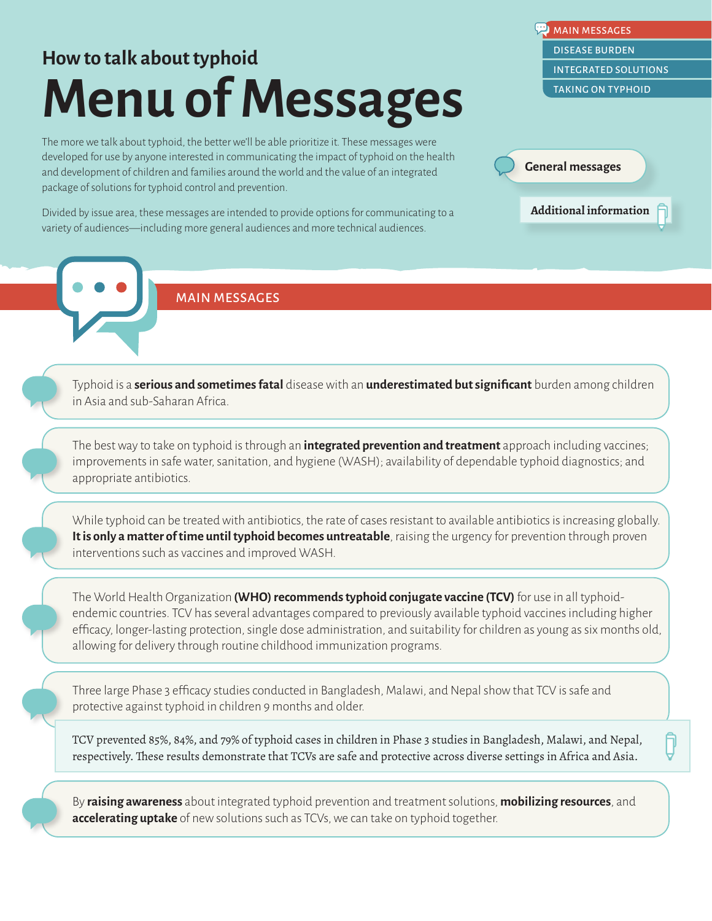# <span id="page-0-0"></span>**How to talk about typhoid Menu of Messages**

The more we talk about typhoid, the better we'll be able prioritize it. These messages were developed for use by anyone interested in communicating the impact of typhoid on the health and development of children and families around the world and the value of an integrated package of solutions for typhoid control and prevention.

Divided by issue area, these messages are intended to provide options for communicating to a variety of audiences—including more general audiences and more technical audiences.

MAIN MESSAGES DISEASE BURDEN INTEGRATED SOLUTIONS TAKING ON TYPHOID MAIN MESSAGES<br>[DISEASE](#page-1-0) BURDEN<br>INTEGRATED SOLUT<br>TAKING [ON](#page-10-0) TYPHOI

**General messages**

**Additional information**

#### MAIN MESSAGES

Typhoid is a **serious and sometimes fatal** disease with an **underestimated but significant** burden among children in Asia and sub-Saharan Africa.

The best way to take on typhoid is through an **integrated prevention and treatment** approach including vaccines; improvements in safe water, sanitation, and hygiene (WASH); availability of dependable typhoid diagnostics; and appropriate antibiotics.

While typhoid can be treated with antibiotics, the rate of cases resistant to available antibiotics is increasing globally. **It is only a matter of time until typhoid becomes untreatable**, raising the urgency for prevention through proven interventions such as vaccines and improved WASH.

The World Health Organization **(WHO) recommends typhoid conjugate vaccine (TCV)** for use in all typhoidendemic countries. TCV has several advantages compared to previously available typhoid vaccines including higher efficacy, longer-lasting protection, single dose administration, and suitability for children as young as six months old, allowing for delivery through routine childhood immunization programs.

Three large Phase 3 efficacy studies conducted in Bangladesh, Malawi, and Nepal show that TCV is safe and protective against typhoid in children 9 months and older.

TCV prevented 85%, 84%, and 79% of typhoid cases in children in Phase 3 studies in Bangladesh, Malawi, and Nepal, respectively. These results demonstrate that TCVs are safe and protective across diverse settings in Africa and Asia.

By **raising awareness** about integrated typhoid prevention and treatment solutions, **mobilizing resources**, and **accelerating uptake** of new solutions such as TCVs, we can take on typhoid together.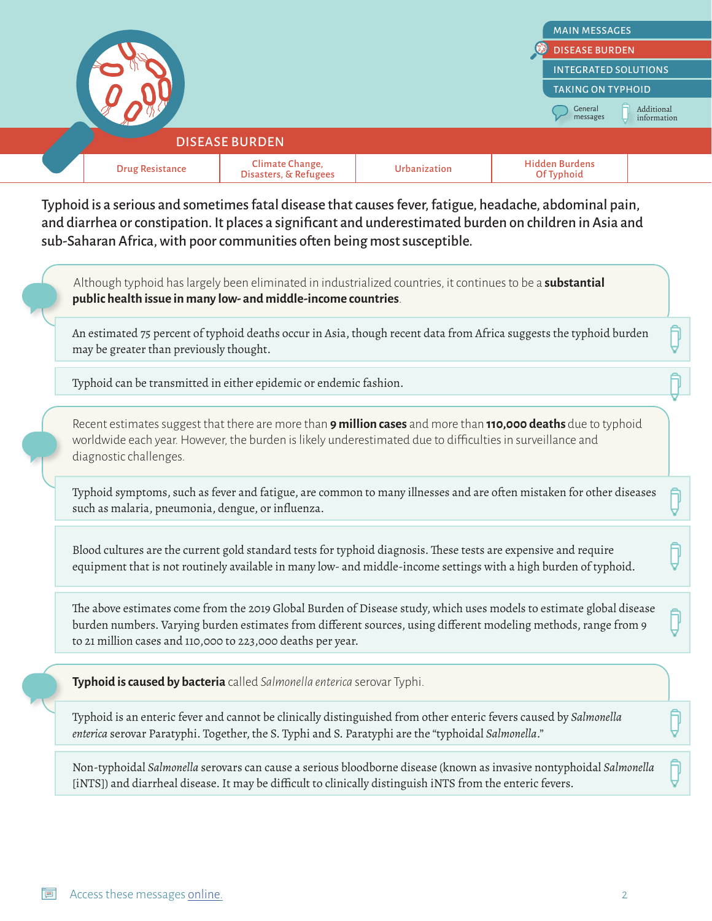<span id="page-1-0"></span>

[MAIN MESSAGES](#page-0-0) [INTEGRATED SOLUTIONS](#page-5-0) [TAKING ON TYPHOID](#page-10-0) Additional information General messages DISEASE BURDEN

#### DISEASE BURDEN

|  |  | $ -$ | the contract of the contract of the contract of the contract of the contract of |  | uraen<br>` Tynhoio.<br>7ŧ |  |
|--|--|------|---------------------------------------------------------------------------------|--|---------------------------|--|
|--|--|------|---------------------------------------------------------------------------------|--|---------------------------|--|

Typhoid is a serious and sometimes fatal disease that causes fever, fatigue, headache, abdominal pain, and diarrhea or constipation. It places a significant and underestimated burden on children in Asia and sub-Saharan Africa, with poor communities often being most susceptible.

Although typhoid has largely been eliminated in industrialized countries, it continues to be a **substantial public health issue in many low- and middle-income countries**.

An estimated 75 percent of typhoid deaths occur in Asia, though recent data from Africa suggests the typhoid burden may be greater than previously thought.

Typhoid can be transmitted in either epidemic or endemic fashion.

Recent estimates suggest that there are more than **9 million cases** and more than **110,000 deaths** due to typhoid worldwide each year. However, the burden is likely underestimated due to difficulties in surveillance and diagnostic challenges.

Typhoid symptoms, such as fever and fatigue, are common to many illnesses and are often mistaken for other diseases such as malaria, pneumonia, dengue, or influenza.

Blood cultures are the current gold standard tests for typhoid diagnosis. These tests are expensive and require equipment that is not routinely available in many low- and middle-income settings with a high burden of typhoid.

The above estimates come from the 2019 Global Burden of Disease study, which uses models to estimate global disease burden numbers. Varying burden estimates from different sources, using different modeling methods, range from 9 to 21 million cases and 110,000 to 223,000 deaths per year.

**Typhoid is caused by bacteria** called *Salmonella enterica* serovar Typhi.

Typhoid is an enteric fever and cannot be clinically distinguished from other enteric fevers caused by *Salmonella enterica* serovar Paratyphi. Together, the S. Typhi and S. Paratyphi are the "typhoidal *Salmonella*."

Non-typhoidal *Salmonella* serovars can cause a serious bloodborne disease (known as invasive nontyphoidal *Salmonella* [iNTS]) and diarrheal disease. It may be difficult to clinically distinguish iNTS from the enteric fevers.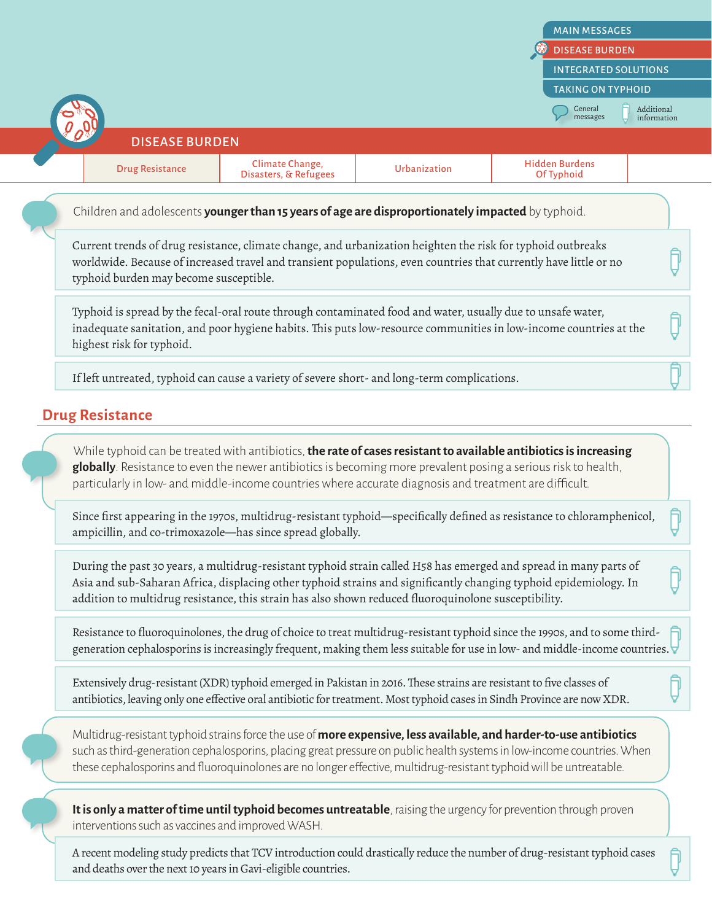|                                                                                                                                                                                                                                                                            |                                                                                                                                                                                                                                                                                                                                                |              | <b>MAIN MESSAGES</b>                                                                                                   |  |  |  |
|----------------------------------------------------------------------------------------------------------------------------------------------------------------------------------------------------------------------------------------------------------------------------|------------------------------------------------------------------------------------------------------------------------------------------------------------------------------------------------------------------------------------------------------------------------------------------------------------------------------------------------|--------------|------------------------------------------------------------------------------------------------------------------------|--|--|--|
|                                                                                                                                                                                                                                                                            | <b>DISEASE BURDEN</b><br><b>INTEGRATED SOLUTIONS</b>                                                                                                                                                                                                                                                                                           |              |                                                                                                                        |  |  |  |
|                                                                                                                                                                                                                                                                            |                                                                                                                                                                                                                                                                                                                                                |              |                                                                                                                        |  |  |  |
|                                                                                                                                                                                                                                                                            |                                                                                                                                                                                                                                                                                                                                                |              | <b>TAKING ON TYPHOID</b><br>General<br>Additional                                                                      |  |  |  |
|                                                                                                                                                                                                                                                                            |                                                                                                                                                                                                                                                                                                                                                |              | messages<br>information                                                                                                |  |  |  |
| <b>DISEASE BURDEN</b>                                                                                                                                                                                                                                                      |                                                                                                                                                                                                                                                                                                                                                |              |                                                                                                                        |  |  |  |
| <b>Drug Resistance</b>                                                                                                                                                                                                                                                     | Climate Change,<br>Disasters, & Refugees                                                                                                                                                                                                                                                                                                       | Urbanization | <b>Hidden Burdens</b><br>Of Typhoid                                                                                    |  |  |  |
|                                                                                                                                                                                                                                                                            | Children and adolescents younger than 15 years of age are disproportionately impacted by typhoid.                                                                                                                                                                                                                                              |              |                                                                                                                        |  |  |  |
| Current trends of drug resistance, climate change, and urbanization heighten the risk for typhoid outbreaks<br>worldwide. Because of increased travel and transient populations, even countries that currently have little or no<br>typhoid burden may become susceptible. |                                                                                                                                                                                                                                                                                                                                                |              |                                                                                                                        |  |  |  |
| Typhoid is spread by the fecal-oral route through contaminated food and water, usually due to unsafe water,<br>inadequate sanitation, and poor hygiene habits. This puts low-resource communities in low-income countries at the<br>highest risk for typhoid.              |                                                                                                                                                                                                                                                                                                                                                |              |                                                                                                                        |  |  |  |
|                                                                                                                                                                                                                                                                            |                                                                                                                                                                                                                                                                                                                                                |              |                                                                                                                        |  |  |  |
|                                                                                                                                                                                                                                                                            | If left untreated, typhoid can cause a variety of severe short- and long-term complications.                                                                                                                                                                                                                                                   |              |                                                                                                                        |  |  |  |
|                                                                                                                                                                                                                                                                            |                                                                                                                                                                                                                                                                                                                                                |              |                                                                                                                        |  |  |  |
|                                                                                                                                                                                                                                                                            | While typhoid can be treated with antibiotics, the rate of cases resistant to available antibiotics is increasing<br>globally. Resistance to even the newer antibiotics is becoming more prevalent posing a serious risk to health,<br>particularly in low- and middle-income countries where accurate diagnosis and treatment are difficult.  |              |                                                                                                                        |  |  |  |
|                                                                                                                                                                                                                                                                            | ampicillin, and co-trimoxazole-has since spread globally.                                                                                                                                                                                                                                                                                      |              | Since first appearing in the 1970s, multidrug-resistant typhoid—specifically defined as resistance to chloramphenicol, |  |  |  |
| <b>Drug Resistance</b>                                                                                                                                                                                                                                                     | During the past 30 years, a multidrug-resistant typhoid strain called H58 has emerged and spread in many parts of<br>Asia and sub-Saharan Africa, displacing other typhoid strains and significantly changing typhoid epidemiology. In<br>addition to multidrug resistance, this strain has also shown reduced fluoroquinolone susceptibility. |              |                                                                                                                        |  |  |  |

Extensively drug-resistant (XDR) typhoid emerged in Pakistan in 2016. These strains are resistant to five classes of antibiotics, leaving only one effective oral antibiotic for treatment. Most typhoid cases in Sindh Province are now XDR.

Multidrug-resistant typhoid strains force the use of **more expensive, less available, and harder-to-use antibiotics** such as third-generation cephalosporins, placing great pressure on public health systems in low-income countries. When these cephalosporins and fluoroquinolones are no longer effective, multidrug-resistant typhoid will be untreatable.

**It is only a matter of time until typhoid becomes untreatable**, raising the urgency for prevention through proven interventions such as vaccines and improved WASH.

A recent modeling study predicts that TCV introduction could drastically reduce the number of drug-resistant typhoid cases and deaths over the next 10 years in Gavi-eligible countries.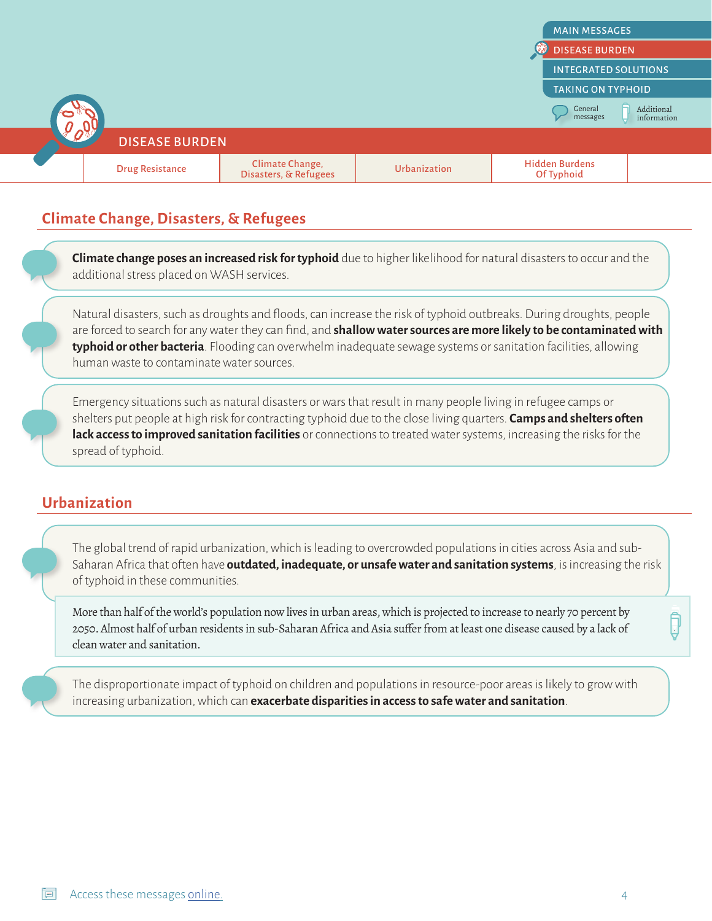

#### **Climate Change, Disasters, & Refugees**

**Climate change poses an increased risk for typhoid** due to higher likelihood for natural disasters to occur and the additional stress placed on WASH services.

Natural disasters, such as droughts and floods, can increase the risk of typhoid outbreaks. During droughts, people are forced to search for any water they can find, and **shallow water sources are more likely to be contaminated with typhoid or other bacteria**. Flooding can overwhelm inadequate sewage systems or sanitation facilities, allowing human waste to contaminate water sources.

Emergency situations such as natural disasters or wars that result in many people living in refugee camps or shelters put people at high risk for contracting typhoid due to the close living quarters. **Camps and shelters often lack access to improved sanitation facilities** or connections to treated water systems, increasing the risks for the spread of typhoid.

#### **Urbanization**

The global trend of rapid urbanization, which is leading to overcrowded populations in cities across Asia and sub-Saharan Africa that often have **outdated, inadequate, or unsafe water and sanitation systems**, is increasing the risk of typhoid in these communities.

More than half of the world's population now lives in urban areas, which is projected to increase to nearly 70 percent by 2050. Almost half of urban residents in sub-Saharan Africa and Asia suffer from at least one disease caused by a lack of clean water and sanitation.

The disproportionate impact of typhoid on children and populations in resource-poor areas is likely to grow with increasing urbanization, which can **exacerbate disparities in access to safe water and sanitation**.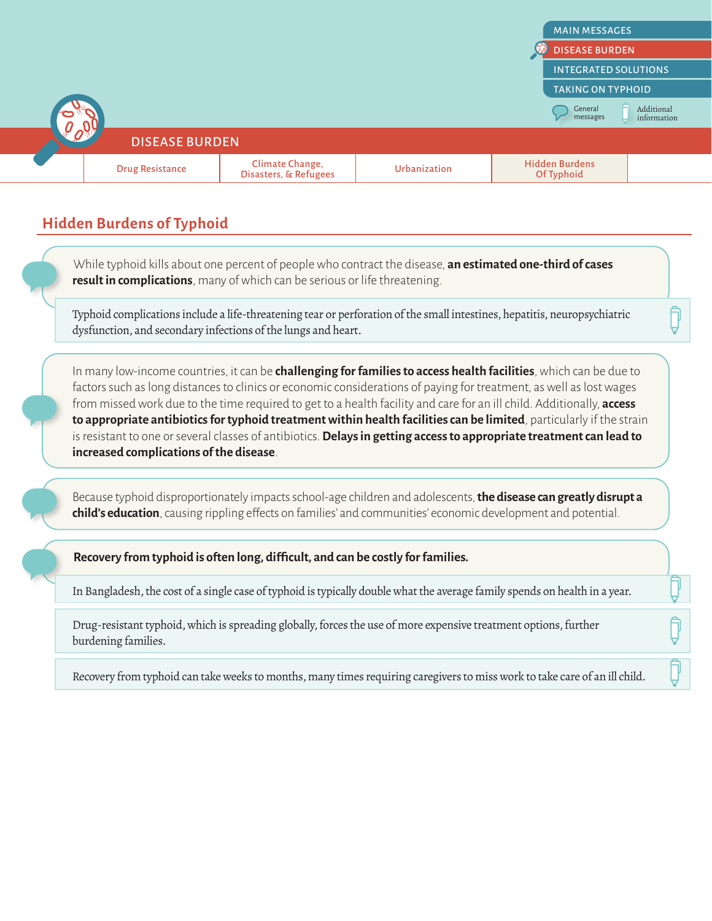

### **Hidden Burdens of Typhoid**

While typhoid kills about one percent of people who contract the disease, **an estimated one-third of cases result in complications**, many of which can be serious or life threatening.

Typhoid complications include a life-threatening tear or perforation of the small intestines, hepatitis, neuropsychiatric dysfunction, and secondary infections of the lungs and heart.

In many low-income countries, it can be **challenging for families to access health facilities**, which can be due to factors such as long distances to clinics or economic considerations of paying for treatment, as well as lost wages from missed work due to the time required to get to a health facility and care for an ill child. Additionally, **access to appropriate antibiotics for typhoid treatment within health facilities can be limited**, particularly if the strain is resistant to one or several classes of antibiotics. **Delays in getting access to appropriate treatment can lead to increased complications of the disease**.

Because typhoid disproportionately impacts school-age children and adolescents, **the disease can greatly disrupt a child's education**, causing rippling effects on families' and communities' economic development and potential.

**Recovery from typhoid is often long, difficult, and can be costly for families.**

In Bangladesh, the cost of a single case of typhoid is typically double what the average family spends on health in a year.

Drug-resistant typhoid, which is spreading globally, forces the use of more expensive treatment options, further burdening families.

Recovery from typhoid can take weeks to months, many times requiring caregivers to miss work to take care of an ill child.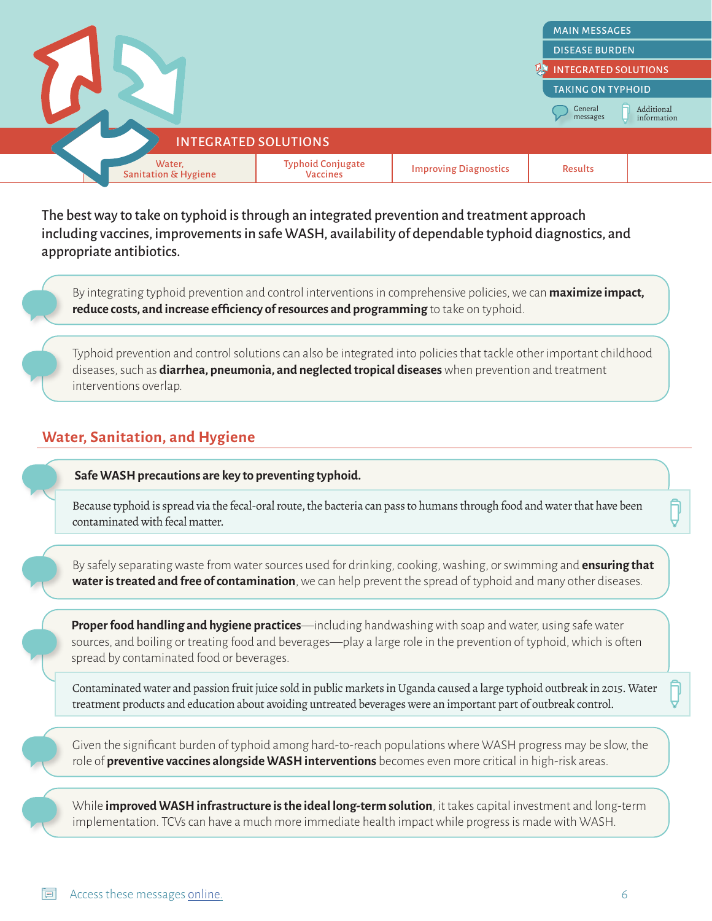<span id="page-5-0"></span>

The best way to take on typhoid is through an integrated prevention and treatment approach including vaccines, improvements in safe WASH, availability of dependable typhoid diagnostics, and appropriate antibiotics.

By integrating typhoid prevention and control interventions in comprehensive policies, we can **maximize impact, reduce costs, and increase efficiency of resources and programming** to take on typhoid.

Typhoid prevention and control solutions can also be integrated into policies that tackle other important childhood diseases, such as **diarrhea, pneumonia, and neglected tropical diseases** when prevention and treatment interventions overlap.

#### **Water, Sanitation, and Hygiene**

**Safe WASH precautions are key to preventing typhoid.** 

Because typhoid is spread via the fecal-oral route, the bacteria can pass to humans through food and water that have been contaminated with fecal matter.

By safely separating waste from water sources used for drinking, cooking, washing, or swimming and **ensuring that water is treated and free of contamination**, we can help prevent the spread of typhoid and many other diseases.

**Proper food handling and hygiene practices**—including handwashing with soap and water, using safe water sources, and boiling or treating food and beverages—play a large role in the prevention of typhoid, which is often spread by contaminated food or beverages.

Contaminated water and passion fruit juice sold in public markets in Uganda caused a large typhoid outbreak in 2015. Water treatment products and education about avoiding untreated beverages were an important part of outbreak control.

Given the significant burden of typhoid among hard-to-reach populations where WASH progress may be slow, the role of **preventive vaccines alongside WASH interventions** becomes even more critical in high-risk areas.

While **improved WASH infrastructure is the ideal long-term solution**, it takes capital investment and long-term implementation. TCVs can have a much more immediate health impact while progress is made with WASH.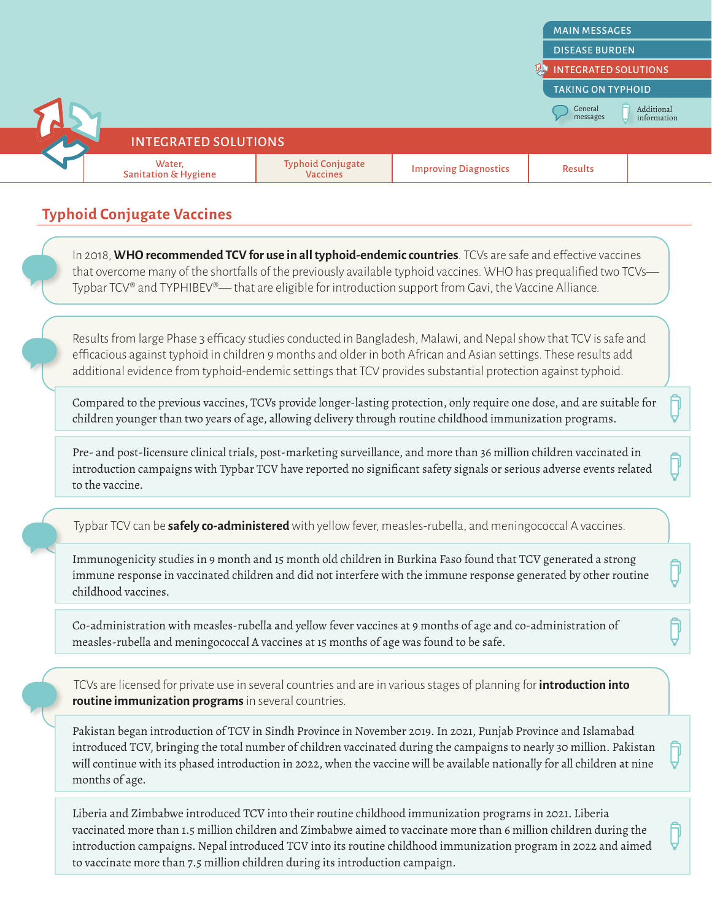

[TAKING ON TYPHOID](#page-10-0)

**General** messages

Additional information



INTEGRATED SOLUTIONS

**Typhoid Conjugate Vaccines**

In 2018, **WHO recommended TCV for use in all typhoid-endemic countries**. TCVs are safe and effective vaccines that overcome many of the shortfalls of the previously available typhoid vaccines. WHO has prequalified two TCVs— Typbar TCV® and TYPHIBEV®— that are eligible for introduction support from Gavi, the Vaccine Alliance.

Results from large Phase 3 efficacy studies conducted in Bangladesh, Malawi, and Nepal show that TCV is safe and efficacious against typhoid in children 9 months and older in both African and Asian settings. These results add additional evidence from typhoid-endemic settings that TCV provides substantial protection against typhoid.

Compared to the previous vaccines, TCVs provide longer-lasting protection, only require one dose, and are suitable for children younger than two years of age, allowing delivery through routine childhood immunization programs.

Pre- and post-licensure clinical trials, post-marketing surveillance, and more than 36 million children vaccinated in introduction campaigns with Typbar TCV have reported no significant safety signals or serious adverse events related to the vaccine.

Typbar TCV can be **safely co-administered** with yellow fever, measles-rubella, and meningococcal A vaccines.

Immunogenicity studies in 9 month and 15 month old children in Burkina Faso found that TCV generated a strong immune response in vaccinated children and did not interfere with the immune response generated by other routine childhood vaccines.

Co-administration with measles-rubella and yellow fever vaccines at 9 months of age and co-administration of measles-rubella and meningococcal A vaccines at 15 months of age was found to be safe.

TCVs are licensed for private use in several countries and are in various stages of planning for **introduction into routine immunization programs** in several countries.

Pakistan began introduction of TCV in Sindh Province in November 2019. In 2021, Punjab Province and Islamabad introduced TCV, bringing the total number of children vaccinated during the campaigns to nearly 30 million. Pakistan will continue with its phased introduction in 2022, when the vaccine will be available nationally for all children at nine months of age.

Liberia and Zimbabwe introduced TCV into their routine childhood immunization programs in 2021. Liberia vaccinated more than 1.5 million children and Zimbabwe aimed to vaccinate more than 6 million children during the introduction campaigns. Nepal introduced TCV into its routine childhood immunization program in 2022 and aimed to vaccinate more than 7.5 million children during its introduction campaign.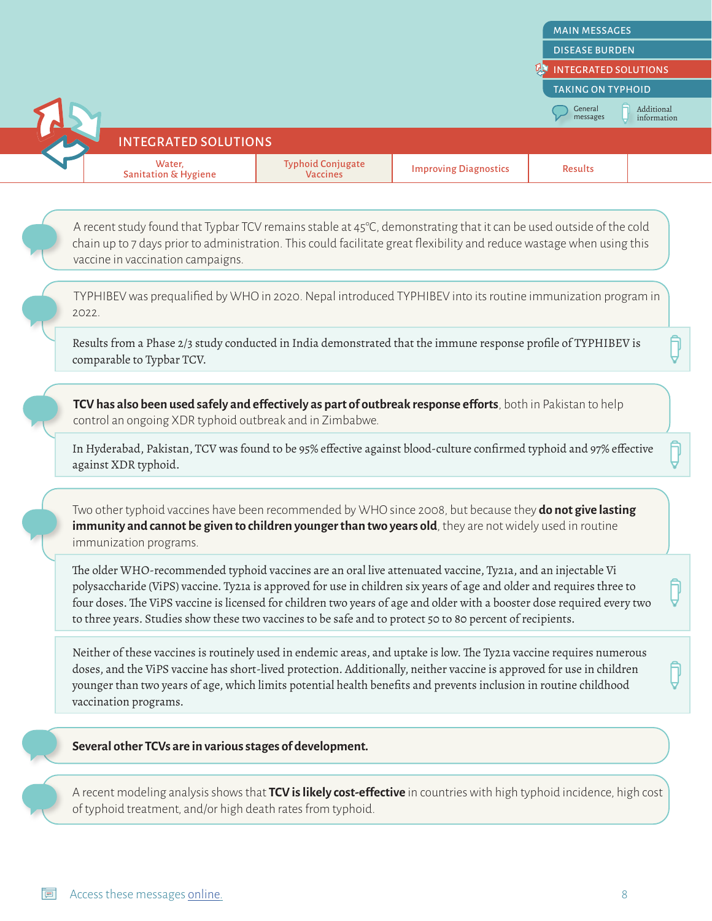Additional information



General messages

INTEGRATED SOLUTIONS

TYPHIBEV was prequalified by WHO in 2020. Nepal introduced TYPHIBEV into its routine immunization program in 2022.

Results from a Phase 2/3 study conducted in India demonstrated that the immune response profile of TYPHIBEV is comparable to Typbar TCV.

**TCV has also been used safely and effectively as part of outbreak response efforts**, both in Pakistan to help control an ongoing XDR typhoid outbreak and in Zimbabwe.

In Hyderabad, Pakistan, TCV was found to be 95% effective against blood-culture confirmed typhoid and 97% effective against XDR typhoid.

Two other typhoid vaccines have been recommended by WHO since 2008, but because they **do not give lasting**  immunity and cannot be given to children younger than two years old, they are not widely used in routine immunization programs.

The older WHO-recommended typhoid vaccines are an oral live attenuated vaccine, Ty21a, and an injectable Vi polysaccharide (ViPS) vaccine. Ty21a is approved for use in children six years of age and older and requires three to four doses. The ViPS vaccine is licensed for children two years of age and older with a booster dose required every two to three years. Studies show these two vaccines to be safe and to protect 50 to 80 percent of recipients.

Neither of these vaccines is routinely used in endemic areas, and uptake is low. The Ty21a vaccine requires numerous doses, and the ViPS vaccine has short-lived protection. Additionally, neither vaccine is approved for use in children younger than two years of age, which limits potential health benefits and prevents inclusion in routine childhood vaccination programs.

#### **Several other TCVs are in various stages of development.**

A recent modeling analysis shows that **TCV is likely cost-effective** in countries with high typhoid incidence, high cost of typhoid treatment, and/or high death rates from typhoid.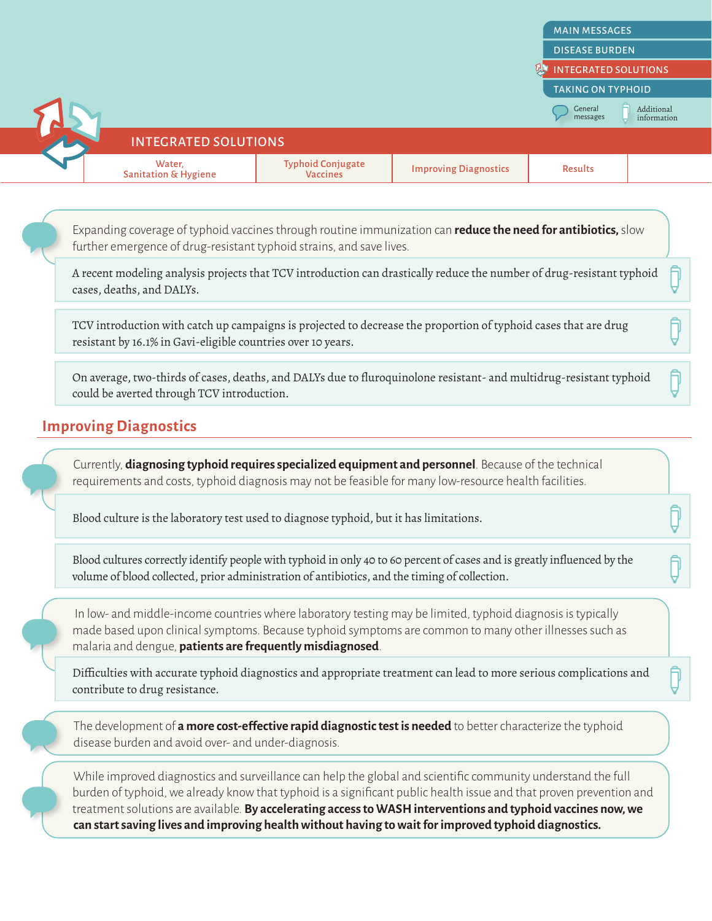**[INTEGRATED SOLUTIONS](#page-5-0)** 

[TAKING ON TYPHOID](#page-10-0)

**General** messages

#### Additional information

INTEGRATED SOLUTIONS

A recent modeling analysis projects that TCV introduction can drastically reduce the number of drug-resistant typhoid cases, deaths, and DALYs.

TCV introduction with catch up campaigns is projected to decrease the proportion of typhoid cases that are drug resistant by 16.1% in Gavi-eligible countries over 10 years.

On average, two-thirds of cases, deaths, and DALYs due to fluroquinolone resistant- and multidrug-resistant typhoid could be averted through TCV introduction.

## **Improving Diagnostics**

Currently, **diagnosing typhoid requires specialized equipment and personnel**. Because of the technical requirements and costs, typhoid diagnosis may not be feasible for many low-resource health facilities.

Blood culture is the laboratory test used to diagnose typhoid, but it has limitations.

Blood cultures correctly identify people with typhoid in only 40 to 60 percent of cases and is greatly influenced by the volume of blood collected, prior administration of antibiotics, and the timing of collection.

In low- and middle-income countries where laboratory testing may be limited, typhoid diagnosis is typically made based upon clinical symptoms. Because typhoid symptoms are common to many other illnesses such as malaria and dengue, **patients are frequently misdiagnosed**.

Difficulties with accurate typhoid diagnostics and appropriate treatment can lead to more serious complications and contribute to drug resistance.

The development of **a more cost-effective rapid diagnostic test is needed** to better characterize the typhoid disease burden and avoid over- and under-diagnosis.

While improved diagnostics and surveillance can help the global and scientific community understand the full burden of typhoid, we already know that typhoid is a significant public health issue and that proven prevention and treatment solutions are available. **By accelerating access to WASH interventions and typhoid vaccines now, we can start saving lives and improving health without having to wait for improved typhoid diagnostics.**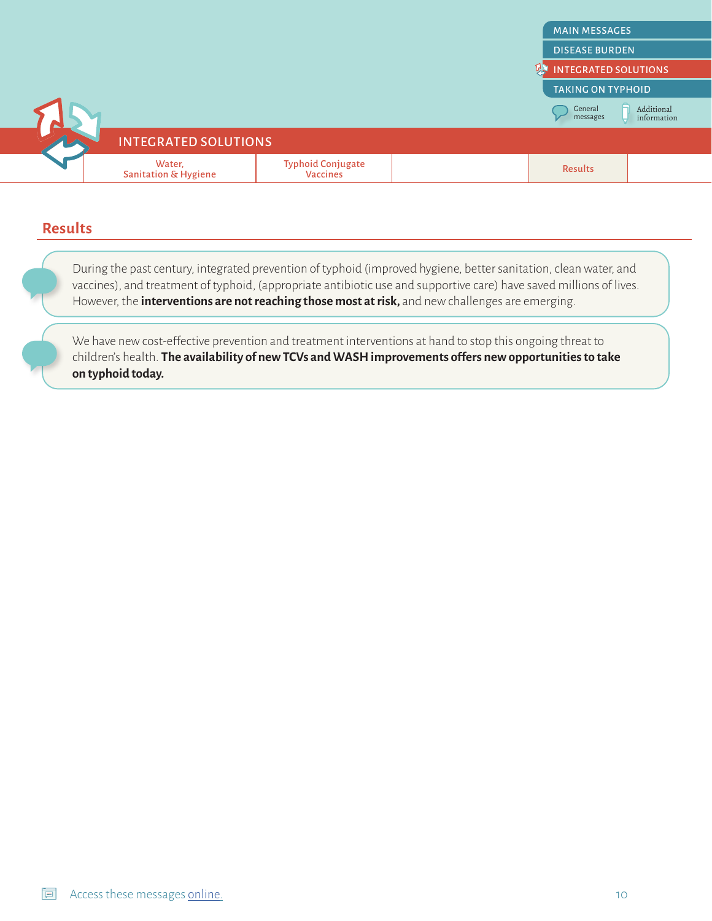

#### **Results**

During the past century, integrated prevention of typhoid (improved hygiene, better sanitation, clean water, and vaccines), and treatment of typhoid, (appropriate antibiotic use and supportive care) have saved millions of lives. However, the **interventions are not reaching those most at risk,** and new challenges are emerging.

We have new cost-effective prevention and treatment interventions at hand to stop this ongoing threat to children's health. **The availability of new TCVs and WASH improvements offers new opportunities to take on typhoid today.**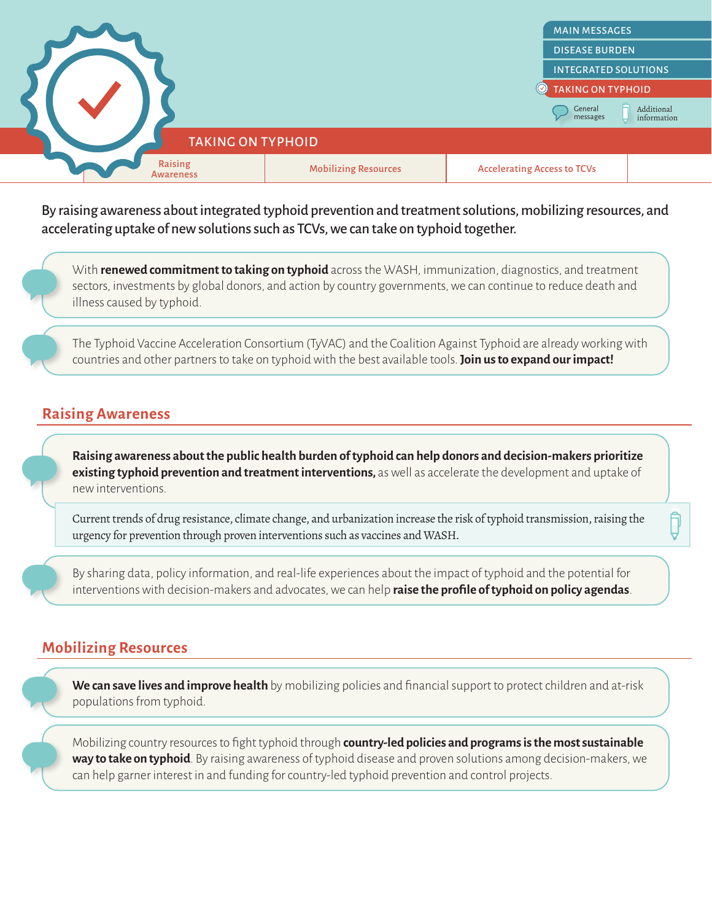<span id="page-10-0"></span>

By raising awareness about integrated typhoid prevention and treatment solutions, mobilizing resources, and accelerating uptake of new solutions such as TCVs, we can take on typhoid together.

With **renewed commitment to taking on typhoid** across the WASH, immunization, diagnostics, and treatment sectors, investments by global donors, and action by country governments, we can continue to reduce death and illness caused by typhoid.

The Typhoid Vaccine Acceleration Consortium (TyVAC) and the Coalition Against Typhoid are already working with countries and other partners to take on typhoid with the best available tools. **Join us to expand our impact!**

#### **Raising Awareness**

**Raising awareness about the public health burden of typhoid can help donors and decision-makers prioritize existing typhoid prevention and treatment interventions,** as well as accelerate the development and uptake of new interventions.

Current trends of drug resistance, climate change, and urbanization increase the risk of typhoid transmission, raising the urgency for prevention through proven interventions such as vaccines and WASH.

By sharing data, policy information, and real-life experiences about the impact of typhoid and the potential for interventions with decision-makers and advocates, we can help **raise the profile of typhoid on policy agendas**.

#### **Mobilizing Resources**

**We can save lives and improve health** by mobilizing policies and financial support to protect children and at-risk populations from typhoid.

Mobilizing country resources to fight typhoid through **country-led policies and programs is the most sustainable way to take on typhoid**. By raising awareness of typhoid disease and proven solutions among decision-makers, we can help garner interest in and funding for country-led typhoid prevention and control projects.